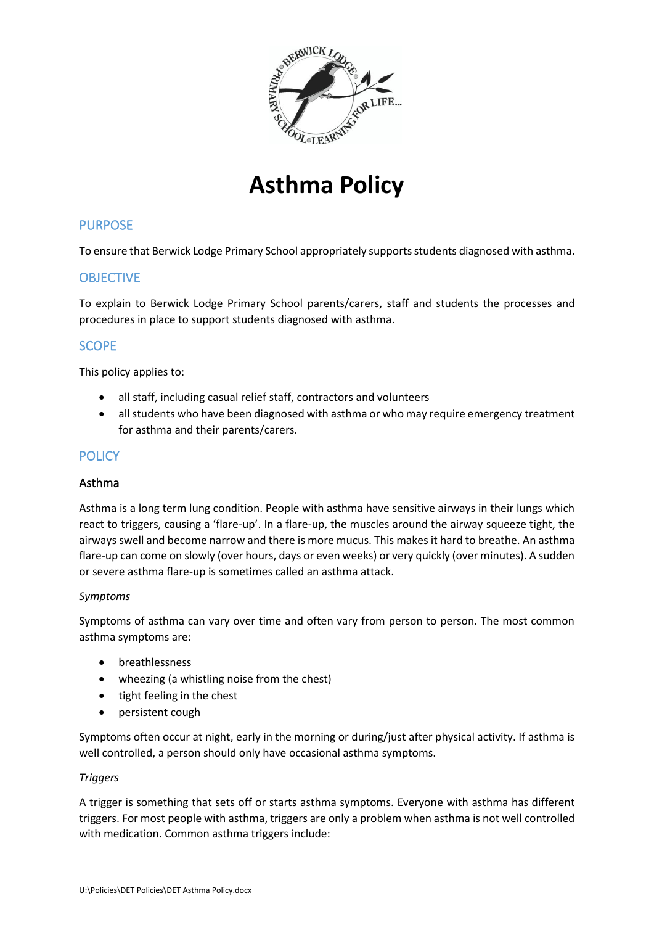

# **Asthma Policy**

# PURPOSE

To ensure that Berwick Lodge Primary School appropriately supportsstudents diagnosed with asthma.

# **OBJECTIVE**

To explain to Berwick Lodge Primary School parents/carers, staff and students the processes and procedures in place to support students diagnosed with asthma.

# SCOPE

This policy applies to:

- all staff, including casual relief staff, contractors and volunteers
- all students who have been diagnosed with asthma or who may require emergency treatment for asthma and their parents/carers.

# **POLICY**

## Asthma

Asthma is a long term lung condition. People with asthma have sensitive airways in their lungs which react to triggers, causing a 'flare-up'. In a flare-up, the muscles around the airway squeeze tight, the airways swell and become narrow and there is more mucus. This makes it hard to breathe. An asthma flare-up can come on slowly (over hours, days or even weeks) or very quickly (over minutes). A sudden or severe asthma flare-up is sometimes called an asthma attack.

## *Symptoms*

Symptoms of asthma can vary over time and often vary from person to person. The most common asthma symptoms are:

- breathlessness
- wheezing (a whistling noise from the chest)
- tight feeling in the chest
- persistent cough

Symptoms often occur at night, early in the morning or during/just after physical activity. If asthma is well controlled, a person should only have occasional asthma symptoms.

## *Triggers*

A trigger is something that sets off or starts asthma symptoms. Everyone with asthma has different triggers. For most people with asthma, triggers are only a problem when asthma is not well controlled with medication. Common asthma triggers include: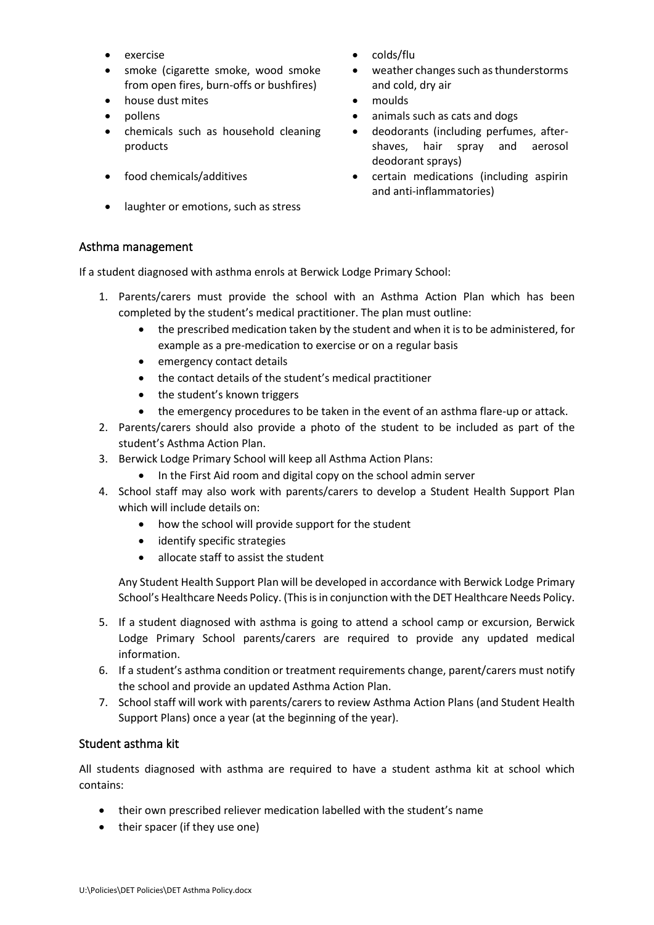- 
- smoke (cigarette smoke, wood smoke from open fires, burn-offs or bushfires)
- house dust mites moulds
- 
- chemicals such as household cleaning products
- 
- laughter or emotions, such as stress
- exercise **•** colds/flu
	- weather changes such as thunderstorms and cold, dry air
	-
- pollens animals such as cats and dogs
	- deodorants (including perfumes, aftershaves, hair spray and aerosol deodorant sprays)
- food chemicals/additives certain medications (including aspirin and anti-inflammatories)

## Asthma management

If a student diagnosed with asthma enrols at Berwick Lodge Primary School:

- 1. Parents/carers must provide the school with an Asthma Action Plan which has been completed by the student's medical practitioner. The plan must outline:
	- the prescribed medication taken by the student and when it is to be administered, for example as a pre-medication to exercise or on a regular basis
	- emergency contact details
	- the contact details of the student's medical practitioner
	- the student's known triggers
	- the emergency procedures to be taken in the event of an asthma flare-up or attack.
- 2. Parents/carers should also provide a photo of the student to be included as part of the student's Asthma Action Plan.
- 3. Berwick Lodge Primary School will keep all Asthma Action Plans:
	- In the First Aid room and digital copy on the school admin server
- 4. School staff may also work with parents/carers to develop a Student Health Support Plan which will include details on:
	- how the school will provide support for the student
	- identify specific strategies
	- allocate staff to assist the student

Any Student Health Support Plan will be developed in accordance with Berwick Lodge Primary School's Healthcare Needs Policy. (This is in conjunction with the DET Healthcare Needs Policy.

- 5. If a student diagnosed with asthma is going to attend a school camp or excursion, Berwick Lodge Primary School parents/carers are required to provide any updated medical information.
- 6. If a student's asthma condition or treatment requirements change, parent/carers must notify the school and provide an updated Asthma Action Plan.
- 7. School staff will work with parents/carers to review Asthma Action Plans (and Student Health Support Plans) once a year (at the beginning of the year).

# Student asthma kit

All students diagnosed with asthma are required to have a student asthma kit at school which contains:

- their own prescribed reliever medication labelled with the student's name
- their spacer (if they use one)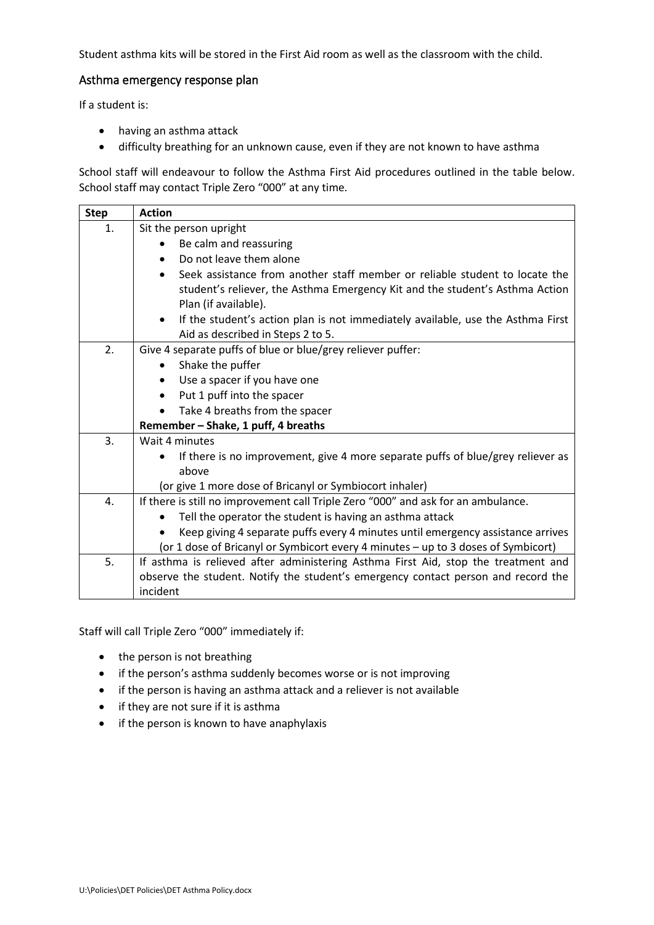Student asthma kits will be stored in the First Aid room as well as the classroom with the child.

#### Asthma emergency response plan

If a student is:

- having an asthma attack
- difficulty breathing for an unknown cause, even if they are not known to have asthma

School staff will endeavour to follow the Asthma First Aid procedures outlined in the table below. School staff may contact Triple Zero "000" at any time.

| <b>Step</b> | <b>Action</b>                                                                                                                                                                       |  |  |  |  |
|-------------|-------------------------------------------------------------------------------------------------------------------------------------------------------------------------------------|--|--|--|--|
| 1.          | Sit the person upright                                                                                                                                                              |  |  |  |  |
|             | Be calm and reassuring                                                                                                                                                              |  |  |  |  |
|             | Do not leave them alone                                                                                                                                                             |  |  |  |  |
|             | Seek assistance from another staff member or reliable student to locate the<br>student's reliever, the Asthma Emergency Kit and the student's Asthma Action<br>Plan (if available). |  |  |  |  |
|             | If the student's action plan is not immediately available, use the Asthma First<br>$\bullet$<br>Aid as described in Steps 2 to 5.                                                   |  |  |  |  |
| 2.          | Give 4 separate puffs of blue or blue/grey reliever puffer:                                                                                                                         |  |  |  |  |
|             | Shake the puffer<br>$\bullet$                                                                                                                                                       |  |  |  |  |
|             | Use a spacer if you have one                                                                                                                                                        |  |  |  |  |
|             | Put 1 puff into the spacer                                                                                                                                                          |  |  |  |  |
|             | Take 4 breaths from the spacer                                                                                                                                                      |  |  |  |  |
|             | Remember - Shake, 1 puff, 4 breaths                                                                                                                                                 |  |  |  |  |
| 3.          | Wait 4 minutes                                                                                                                                                                      |  |  |  |  |
|             | If there is no improvement, give 4 more separate puffs of blue/grey reliever as<br>above                                                                                            |  |  |  |  |
|             | (or give 1 more dose of Bricanyl or Symbiocort inhaler)                                                                                                                             |  |  |  |  |
| 4.          | If there is still no improvement call Triple Zero "000" and ask for an ambulance.                                                                                                   |  |  |  |  |
|             | Tell the operator the student is having an asthma attack                                                                                                                            |  |  |  |  |
|             | Keep giving 4 separate puffs every 4 minutes until emergency assistance arrives                                                                                                     |  |  |  |  |
|             | (or 1 dose of Bricanyl or Symbicort every 4 minutes - up to 3 doses of Symbicort)                                                                                                   |  |  |  |  |
| 5.          | If asthma is relieved after administering Asthma First Aid, stop the treatment and                                                                                                  |  |  |  |  |
|             | observe the student. Notify the student's emergency contact person and record the                                                                                                   |  |  |  |  |
|             | incident                                                                                                                                                                            |  |  |  |  |

Staff will call Triple Zero "000" immediately if:

- the person is not breathing
- if the person's asthma suddenly becomes worse or is not improving
- if the person is having an asthma attack and a reliever is not available
- if they are not sure if it is asthma
- if the person is known to have anaphylaxis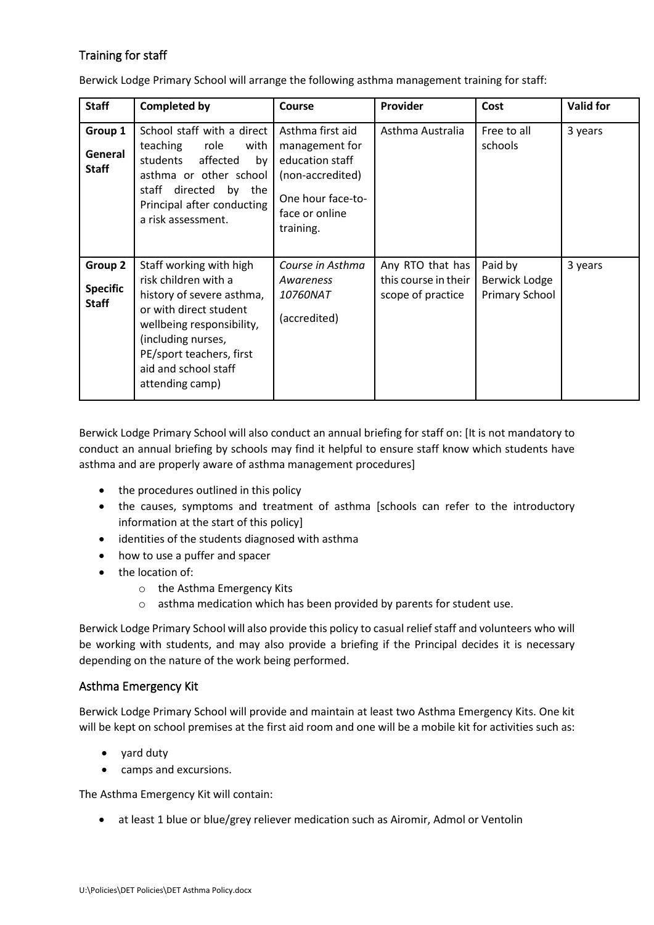# Training for staff

Berwick Lodge Primary School will arrange the following asthma management training for staff:

| <b>Staff</b>                               | <b>Completed by</b>                                                                                                                                                                                                              | <b>Course</b>                                                                                                                 | Provider                                                      | Cost                                              | <b>Valid for</b> |
|--------------------------------------------|----------------------------------------------------------------------------------------------------------------------------------------------------------------------------------------------------------------------------------|-------------------------------------------------------------------------------------------------------------------------------|---------------------------------------------------------------|---------------------------------------------------|------------------|
| Group 1<br>General<br><b>Staff</b>         | School staff with a direct<br>teaching<br>role<br>with<br>affected<br>students<br>by<br>asthma or other school<br>directed<br>staff<br>by the<br>Principal after conducting<br>a risk assessment.                                | Asthma first aid<br>management for<br>education staff<br>(non-accredited)<br>One hour face-to-<br>face or online<br>training. | Asthma Australia                                              | Free to all<br>schools                            | 3 years          |
| Group 2<br><b>Specific</b><br><b>Staff</b> | Staff working with high<br>risk children with a<br>history of severe asthma,<br>or with direct student<br>wellbeing responsibility,<br>(including nurses,<br>PE/sport teachers, first<br>aid and school staff<br>attending camp) | Course in Asthma<br>Awareness<br><i>10760NAT</i><br>(accredited)                                                              | Any RTO that has<br>this course in their<br>scope of practice | Paid by<br>Berwick Lodge<br><b>Primary School</b> | 3 years          |

Berwick Lodge Primary School will also conduct an annual briefing for staff on: [It is not mandatory to conduct an annual briefing by schools may find it helpful to ensure staff know which students have asthma and are properly aware of asthma management procedures]

- the procedures outlined in this policy
- the causes, symptoms and treatment of asthma [schools can refer to the introductory information at the start of this policy]
- identities of the students diagnosed with asthma
- how to use a puffer and spacer
- the location of:
	- o the Asthma Emergency Kits
	- o asthma medication which has been provided by parents for student use.

Berwick Lodge Primary School will also provide this policy to casual relief staff and volunteers who will be working with students, and may also provide a briefing if the Principal decides it is necessary depending on the nature of the work being performed.

## Asthma Emergency Kit

Berwick Lodge Primary School will provide and maintain at least two Asthma Emergency Kits. One kit will be kept on school premises at the first aid room and one will be a mobile kit for activities such as:

- yard duty
- camps and excursions.

The Asthma Emergency Kit will contain:

• at least 1 blue or blue/grey reliever medication such as Airomir, Admol or Ventolin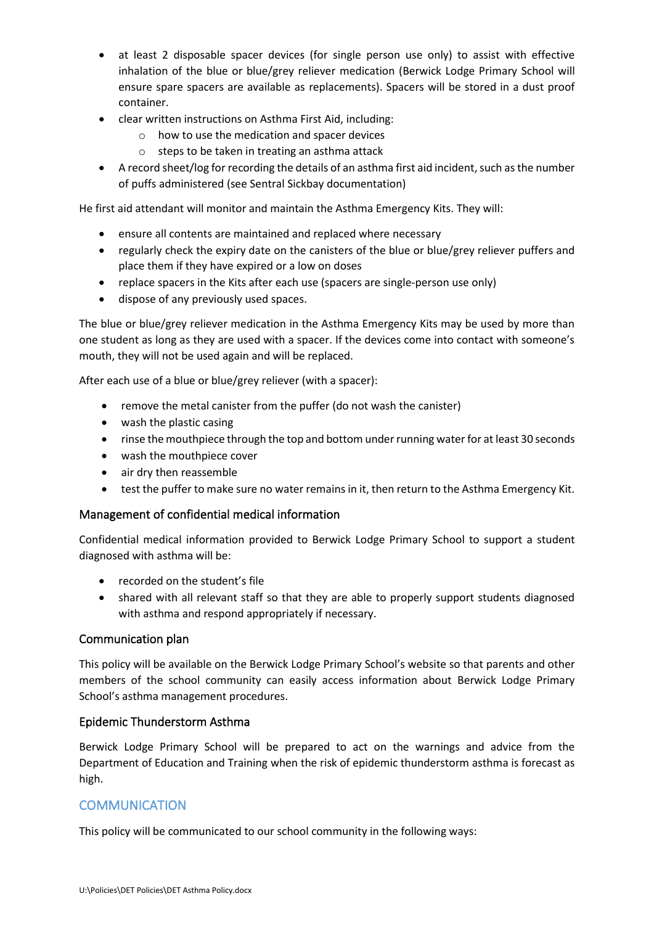- at least 2 disposable spacer devices (for single person use only) to assist with effective inhalation of the blue or blue/grey reliever medication (Berwick Lodge Primary School will ensure spare spacers are available as replacements). Spacers will be stored in a dust proof container.
- clear written instructions on Asthma First Aid, including:
	- o how to use the medication and spacer devices
	- $\circ$  steps to be taken in treating an asthma attack
- A record sheet/log for recording the details of an asthma first aid incident, such as the number of puffs administered (see Sentral Sickbay documentation)

He first aid attendant will monitor and maintain the Asthma Emergency Kits. They will:

- ensure all contents are maintained and replaced where necessary
- regularly check the expiry date on the canisters of the blue or blue/grey reliever puffers and place them if they have expired or a low on doses
- replace spacers in the Kits after each use (spacers are single-person use only)
- dispose of any previously used spaces.

The blue or blue/grey reliever medication in the Asthma Emergency Kits may be used by more than one student as long as they are used with a spacer. If the devices come into contact with someone's mouth, they will not be used again and will be replaced.

After each use of a blue or blue/grey reliever (with a spacer):

- remove the metal canister from the puffer (do not wash the canister)
- wash the plastic casing
- rinse the mouthpiece through the top and bottom under running water for at least 30 seconds
- wash the mouthpiece cover
- air dry then reassemble
- test the puffer to make sure no water remains in it, then return to the Asthma Emergency Kit.

# Management of confidential medical information

Confidential medical information provided to Berwick Lodge Primary School to support a student diagnosed with asthma will be:

- recorded on the student's file
- shared with all relevant staff so that they are able to properly support students diagnosed with asthma and respond appropriately if necessary.

## Communication plan

This policy will be available on the Berwick Lodge Primary School's website so that parents and other members of the school community can easily access information about Berwick Lodge Primary School's asthma management procedures.

## Epidemic Thunderstorm Asthma

Berwick Lodge Primary School will be prepared to act on the warnings and advice from the Department of Education and Training when the risk of epidemic thunderstorm asthma is forecast as high.

# **COMMUNICATION**

This policy will be communicated to our school community in the following ways: